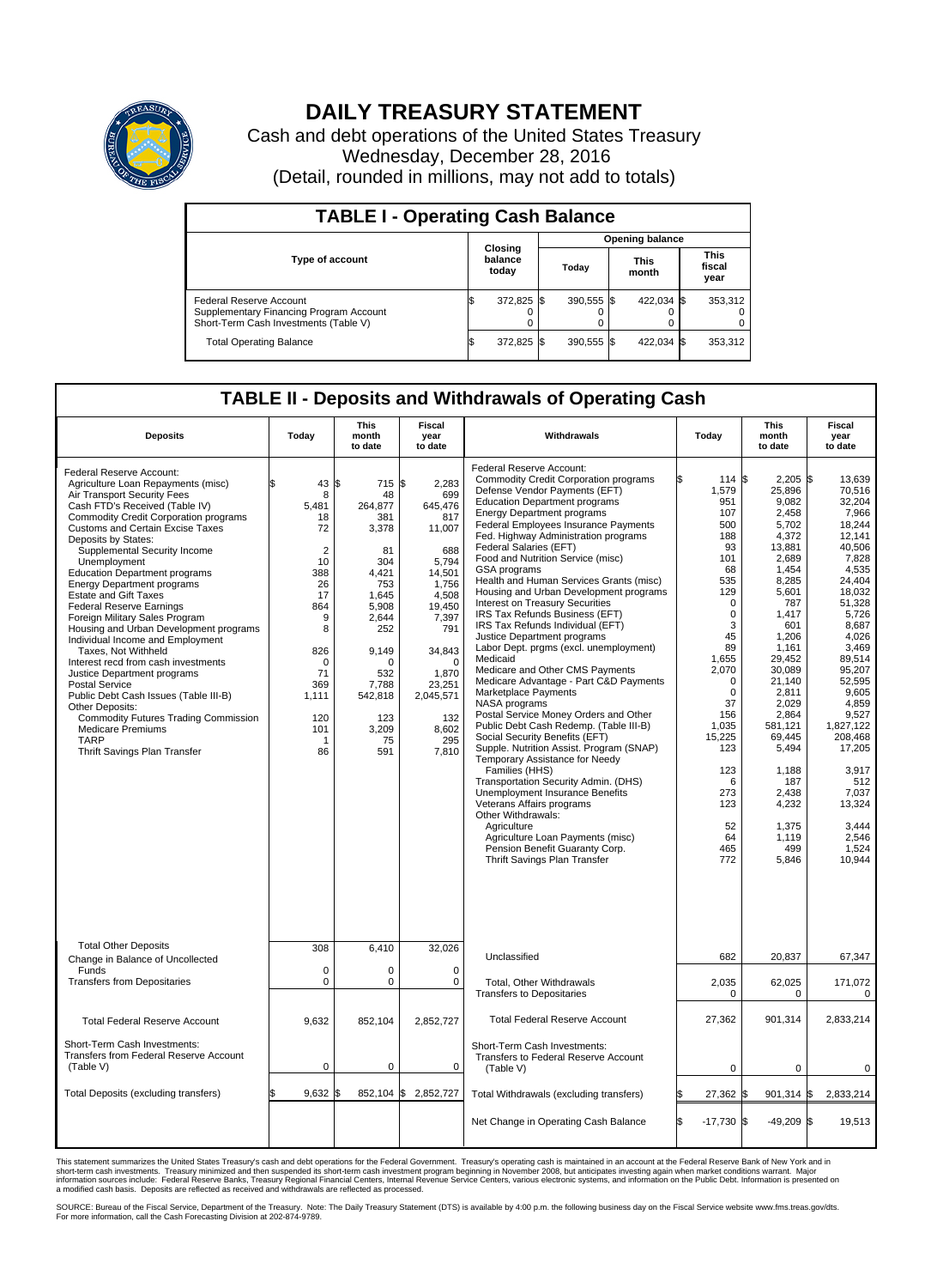

## **DAILY TREASURY STATEMENT**

Cash and debt operations of the United States Treasury Wednesday, December 28, 2016 (Detail, rounded in millions, may not add to totals)

| <b>TABLE I - Operating Cash Balance</b>                                                                            |    |                             |                        |              |  |                      |  |                               |  |  |
|--------------------------------------------------------------------------------------------------------------------|----|-----------------------------|------------------------|--------------|--|----------------------|--|-------------------------------|--|--|
|                                                                                                                    |    |                             | <b>Opening balance</b> |              |  |                      |  |                               |  |  |
| <b>Type of account</b>                                                                                             |    | Closing<br>balance<br>today |                        | Today        |  | <b>This</b><br>month |  | <b>This</b><br>fiscal<br>year |  |  |
| <b>Federal Reserve Account</b><br>Supplementary Financing Program Account<br>Short-Term Cash Investments (Table V) |    | 372,825 \$                  |                        | $390.555$ \$ |  | 422.034 \$           |  | 353,312                       |  |  |
| <b>Total Operating Balance</b>                                                                                     | ıъ | 372,825 \$                  |                        | 390.555 \$   |  | 422,034 \$           |  | 353,312                       |  |  |

## **TABLE II - Deposits and Withdrawals of Operating Cash**

| <b>Deposits</b>                                                                                                                                                                                                                                                                                                                                                                                                                                                                                                                                                                                                                                                                                                                                                                                                                                                        | Today                                                                                                                                                      | <b>This</b><br>month<br>to date                                                                                                                                                     | <b>Fiscal</b><br>year<br>to date                                                                                                                                                                        | Withdrawals                                                                                                                                                                                                                                                                                                                                                                                                                                                                                                                                                                                                                                                                                                                                                                                                                                                                                                                                                                                                                                                                                                                                                                                                                            | Today                                                                                                                                                                                                                                                                  | <b>This</b><br>month<br>to date                                                                                                                                                                                                                                                                            | Fiscal<br>year<br>to date                                                                                                                                                                                                                                                                                                |
|------------------------------------------------------------------------------------------------------------------------------------------------------------------------------------------------------------------------------------------------------------------------------------------------------------------------------------------------------------------------------------------------------------------------------------------------------------------------------------------------------------------------------------------------------------------------------------------------------------------------------------------------------------------------------------------------------------------------------------------------------------------------------------------------------------------------------------------------------------------------|------------------------------------------------------------------------------------------------------------------------------------------------------------|-------------------------------------------------------------------------------------------------------------------------------------------------------------------------------------|---------------------------------------------------------------------------------------------------------------------------------------------------------------------------------------------------------|----------------------------------------------------------------------------------------------------------------------------------------------------------------------------------------------------------------------------------------------------------------------------------------------------------------------------------------------------------------------------------------------------------------------------------------------------------------------------------------------------------------------------------------------------------------------------------------------------------------------------------------------------------------------------------------------------------------------------------------------------------------------------------------------------------------------------------------------------------------------------------------------------------------------------------------------------------------------------------------------------------------------------------------------------------------------------------------------------------------------------------------------------------------------------------------------------------------------------------------|------------------------------------------------------------------------------------------------------------------------------------------------------------------------------------------------------------------------------------------------------------------------|------------------------------------------------------------------------------------------------------------------------------------------------------------------------------------------------------------------------------------------------------------------------------------------------------------|--------------------------------------------------------------------------------------------------------------------------------------------------------------------------------------------------------------------------------------------------------------------------------------------------------------------------|
| Federal Reserve Account:<br>Agriculture Loan Repayments (misc)<br>Air Transport Security Fees<br>Cash FTD's Received (Table IV)<br><b>Commodity Credit Corporation programs</b><br><b>Customs and Certain Excise Taxes</b><br>Deposits by States:<br>Supplemental Security Income<br>Unemployment<br><b>Education Department programs</b><br><b>Energy Department programs</b><br><b>Estate and Gift Taxes</b><br><b>Federal Reserve Earnings</b><br>Foreign Military Sales Program<br>Housing and Urban Development programs<br>Individual Income and Employment<br>Taxes. Not Withheld<br>Interest recd from cash investments<br>Justice Department programs<br>Postal Service<br>Public Debt Cash Issues (Table III-B)<br>Other Deposits:<br><b>Commodity Futures Trading Commission</b><br><b>Medicare Premiums</b><br><b>TARP</b><br>Thrift Savings Plan Transfer | \$<br>43<br>8<br>5.481<br>18<br>72<br>$\overline{2}$<br>10<br>388<br>26<br>17<br>864<br>9<br>8<br>826<br>0<br>71<br>369<br>1,111<br>120<br>101<br>-1<br>86 | 1\$<br>715 \$<br>48<br>264.877<br>381<br>3,378<br>81<br>304<br>4.421<br>753<br>1,645<br>5,908<br>2,644<br>252<br>9.149<br>U<br>532<br>7,788<br>542,818<br>123<br>3,209<br>75<br>591 | 2,283<br>699<br>645.476<br>817<br>11,007<br>688<br>5,794<br>14,501<br>1.756<br>4,508<br>19,450<br>7,397<br>791<br>34,843<br>$\mathbf 0$<br>1,870<br>23,251<br>2,045,571<br>132<br>8,602<br>295<br>7,810 | Federal Reserve Account:<br><b>Commodity Credit Corporation programs</b><br>Defense Vendor Payments (EFT)<br><b>Education Department programs</b><br><b>Energy Department programs</b><br>Federal Employees Insurance Payments<br>Fed. Highway Administration programs<br>Federal Salaries (EFT)<br>Food and Nutrition Service (misc)<br>GSA programs<br>Health and Human Services Grants (misc)<br>Housing and Urban Development programs<br>Interest on Treasury Securities<br>IRS Tax Refunds Business (EFT)<br>IRS Tax Refunds Individual (EFT)<br>Justice Department programs<br>Labor Dept. prgms (excl. unemployment)<br>Medicaid<br>Medicare and Other CMS Payments<br>Medicare Advantage - Part C&D Payments<br>Marketplace Payments<br>NASA programs<br>Postal Service Money Orders and Other<br>Public Debt Cash Redemp. (Table III-B)<br>Social Security Benefits (EFT)<br>Supple. Nutrition Assist. Program (SNAP)<br>Temporary Assistance for Needy<br>Families (HHS)<br>Transportation Security Admin. (DHS)<br>Unemployment Insurance Benefits<br>Veterans Affairs programs<br>Other Withdrawals:<br>Agriculture<br>Agriculture Loan Payments (misc)<br>Pension Benefit Guaranty Corp.<br>Thrift Savings Plan Transfer | 114 \$<br>1,579<br>951<br>107<br>500<br>188<br>93<br>101<br>68<br>535<br>129<br>$\mathbf 0$<br>$\mathbf 0$<br>3<br>45<br>89<br>1,655<br>2,070<br>$\mathbf 0$<br>$\mathbf 0$<br>37<br>156<br>1,035<br>15,225<br>123<br>123<br>6<br>273<br>123<br>52<br>64<br>465<br>772 | $2,205$ \$<br>25,896<br>9,082<br>2,458<br>5,702<br>4,372<br>13,881<br>2.689<br>1,454<br>8,285<br>5,601<br>787<br>1,417<br>601<br>1,206<br>1,161<br>29.452<br>30,089<br>21,140<br>2,811<br>2.029<br>2,864<br>581,121<br>69,445<br>5,494<br>1,188<br>187<br>2,438<br>4,232<br>1,375<br>1,119<br>499<br>5,846 | 13.639<br>70,516<br>32,204<br>7,966<br>18,244<br>12,141<br>40,506<br>7.828<br>4,535<br>24.404<br>18.032<br>51,328<br>5,726<br>8.687<br>4,026<br>3,469<br>89.514<br>95,207<br>52,595<br>9,605<br>4.859<br>9,527<br>1.827.122<br>208,468<br>17,205<br>3,917<br>512<br>7,037<br>13,324<br>3.444<br>2,546<br>1,524<br>10,944 |
| <b>Total Other Deposits</b><br>Change in Balance of Uncollected                                                                                                                                                                                                                                                                                                                                                                                                                                                                                                                                                                                                                                                                                                                                                                                                        | 308                                                                                                                                                        | 6,410                                                                                                                                                                               | 32,026                                                                                                                                                                                                  | Unclassified                                                                                                                                                                                                                                                                                                                                                                                                                                                                                                                                                                                                                                                                                                                                                                                                                                                                                                                                                                                                                                                                                                                                                                                                                           | 682                                                                                                                                                                                                                                                                    | 20,837                                                                                                                                                                                                                                                                                                     | 67,347                                                                                                                                                                                                                                                                                                                   |
| Funds<br><b>Transfers from Depositaries</b>                                                                                                                                                                                                                                                                                                                                                                                                                                                                                                                                                                                                                                                                                                                                                                                                                            | $\mathbf 0$<br>$\pmb{0}$                                                                                                                                   | 0<br>0                                                                                                                                                                              | 0<br>$\mathbf 0$                                                                                                                                                                                        | <b>Total, Other Withdrawals</b><br><b>Transfers to Depositaries</b>                                                                                                                                                                                                                                                                                                                                                                                                                                                                                                                                                                                                                                                                                                                                                                                                                                                                                                                                                                                                                                                                                                                                                                    | 2,035<br>$\mathbf 0$                                                                                                                                                                                                                                                   | 62,025<br>$\mathbf 0$                                                                                                                                                                                                                                                                                      | 171,072<br>$\mathbf 0$                                                                                                                                                                                                                                                                                                   |
| <b>Total Federal Reserve Account</b>                                                                                                                                                                                                                                                                                                                                                                                                                                                                                                                                                                                                                                                                                                                                                                                                                                   | 9,632                                                                                                                                                      | 852,104                                                                                                                                                                             | 2,852,727                                                                                                                                                                                               | <b>Total Federal Reserve Account</b>                                                                                                                                                                                                                                                                                                                                                                                                                                                                                                                                                                                                                                                                                                                                                                                                                                                                                                                                                                                                                                                                                                                                                                                                   | 27,362                                                                                                                                                                                                                                                                 | 901,314                                                                                                                                                                                                                                                                                                    | 2,833,214                                                                                                                                                                                                                                                                                                                |
| Short-Term Cash Investments:<br><b>Transfers from Federal Reserve Account</b><br>(Table V)                                                                                                                                                                                                                                                                                                                                                                                                                                                                                                                                                                                                                                                                                                                                                                             | $\pmb{0}$                                                                                                                                                  | 0                                                                                                                                                                                   | 0                                                                                                                                                                                                       | Short-Term Cash Investments:<br>Transfers to Federal Reserve Account<br>(Table V)                                                                                                                                                                                                                                                                                                                                                                                                                                                                                                                                                                                                                                                                                                                                                                                                                                                                                                                                                                                                                                                                                                                                                      | 0                                                                                                                                                                                                                                                                      | 0                                                                                                                                                                                                                                                                                                          | 0                                                                                                                                                                                                                                                                                                                        |
| Total Deposits (excluding transfers)                                                                                                                                                                                                                                                                                                                                                                                                                                                                                                                                                                                                                                                                                                                                                                                                                                   | 9,632                                                                                                                                                      | 852,104 \$                                                                                                                                                                          | 2,852,727                                                                                                                                                                                               | Total Withdrawals (excluding transfers)                                                                                                                                                                                                                                                                                                                                                                                                                                                                                                                                                                                                                                                                                                                                                                                                                                                                                                                                                                                                                                                                                                                                                                                                | 27,362 \$                                                                                                                                                                                                                                                              | $901,314$ \$                                                                                                                                                                                                                                                                                               | 2,833,214                                                                                                                                                                                                                                                                                                                |
|                                                                                                                                                                                                                                                                                                                                                                                                                                                                                                                                                                                                                                                                                                                                                                                                                                                                        |                                                                                                                                                            |                                                                                                                                                                                     |                                                                                                                                                                                                         | Net Change in Operating Cash Balance                                                                                                                                                                                                                                                                                                                                                                                                                                                                                                                                                                                                                                                                                                                                                                                                                                                                                                                                                                                                                                                                                                                                                                                                   | l\$<br>$-17,730$ \$                                                                                                                                                                                                                                                    | $-49,209$ \$                                                                                                                                                                                                                                                                                               | 19,513                                                                                                                                                                                                                                                                                                                   |

This statement summarizes the United States Treasury's cash and debt operations for the Federal Government. Treasury's operating cash is maintained in an account at the Federal Reserve Bank of New York and in<br>short-term ca

SOURCE: Bureau of the Fiscal Service, Department of the Treasury. Note: The Daily Treasury Statement (DTS) is available by 4:00 p.m. the following business day on the Fiscal Service website www.fms.treas.gov/dts.<br>For more